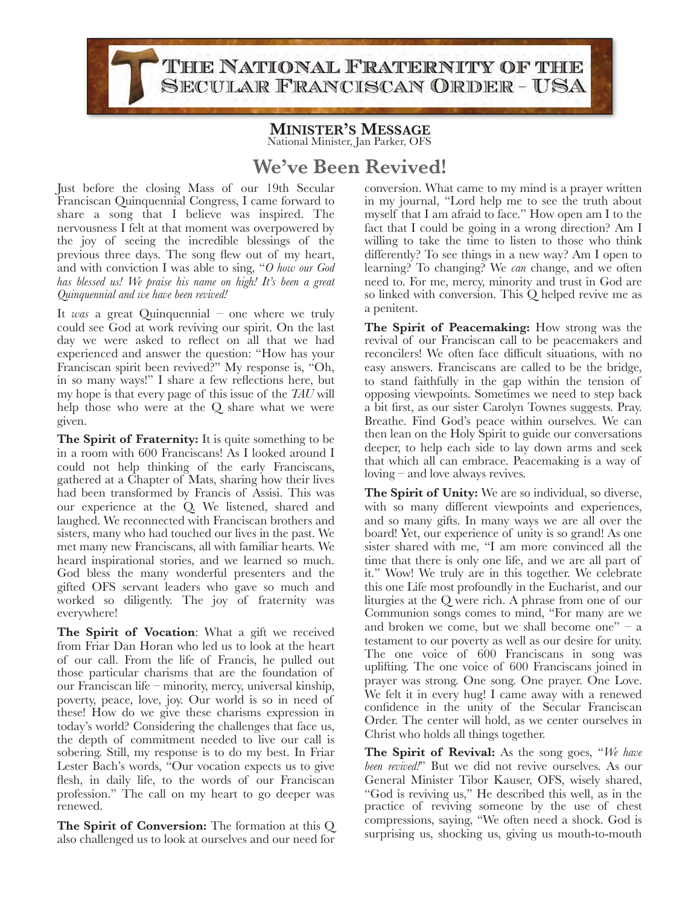THE NATIONAL FRATERNITY OF THE SECULAR FRANCISCAN ORDER-USA

## **MINISTER'S MESSAGE** National Minister, Jan Parker, OFS

## **We've Been Revived!**

Just before the closing Mass of our 19th Secular Franciscan Quinquennial Congress, I came forward to share a song that I believe was inspired. The nervousness I felt at that moment was overpowered by the joy of seeing the incredible blessings of the previous three days. The song flew out of my heart, and with conviction I was able to sing, "*O how our God has blessed us! We praise his name on high! It's been a great Quinquennial and we have been revived!* 

It *was* a great Quinquennial – one where we truly could see God at work reviving our spirit. On the last day we were asked to reflect on all that we had experienced and answer the question: "How has your Franciscan spirit been revived?" My response is, "Oh, in so many ways!" I share a few reflections here, but my hope is that every page of this issue of the *TAU* will help those who were at the Q share what we were given.

The Spirit of Fraternity: It is quite something to be in a room with 600 Franciscans! As I looked around I could not help thinking of the early Franciscans, gathered at a Chapter of Mats, sharing how their lives had been transformed by Francis of Assisi. This was our experience at the Q. We listened, shared and laughed. We reconnected with Franciscan brothers and sisters, many who had touched our lives in the past. We met many new Franciscans, all with familiar hearts. We heard inspirational stories, and we learned so much. God bless the many wonderful presenters and the gifted OFS servant leaders who gave so much and worked so diligently. The joy of fraternity was everywhere!

**The Spirit of Vocation**: What a gift we received from Friar Dan Horan who led us to look at the heart of our call. From the life of Francis, he pulled out those particular charisms that are the foundation of our Franciscan life – minority, mercy, universal kinship, poverty, peace, love, joy. Our world is so in need of these! How do we give these charisms expression in today's world? Considering the challenges that face us, the depth of commitment needed to live our call is sobering. Still, my response is to do my best. In Friar Lester Bach's words, "Our vocation expects us to give flesh, in daily life, to the words of our Franciscan profession." The call on my heart to go deeper was renewed.

**The Spirit of Conversion:** The formation at this Q also challenged us to look at ourselves and our need for

conversion. What came to my mind is a prayer written in my journal, "Lord help me to see the truth about myself that I am afraid to face." How open am I to the fact that I could be going in a wrong direction? Am I willing to take the time to listen to those who think differently? To see things in a new way? Am I open to learning? To changing? We *can* change, and we often need to. For me, mercy, minority and trust in God are so linked with conversion. This Q helped revive me as a penitent.

**The Spirit of Peacemaking:** How strong was the revival of our Franciscan call to be peacemakers and reconcilers! We often face difficult situations, with no easy answers. Franciscans are called to be the bridge, to stand faithfully in the gap within the tension of opposing viewpoints. Sometimes we need to step back a bit first, as our sister Carolyn Townes suggests. Pray. Breathe. Find God's peace within ourselves. We can then lean on the Holy Spirit to guide our conversations deeper, to help each side to lay down arms and seek that which all can embrace. Peacemaking is a way of loving – and love always revives.

**The Spirit of Unity:** We are so individual, so diverse, with so many different viewpoints and experiences, and so many gifts. In many ways we are all over the board! Yet, our experience of unity is so grand! As one sister shared with me, "I am more convinced all the time that there is only one life, and we are all part of it." Wow! We truly are in this together. We celebrate this one Life most profoundly in the Eucharist, and our liturgies at the Q were rich. A phrase from one of our Communion songs comes to mind, "For many are we and broken we come, but we shall become one" –  $a$ testament to our poverty as well as our desire for unity. The one voice of 600 Franciscans in song was uplifting. The one voice of 600 Franciscans joined in prayer was strong. One song. One prayer. One Love. We felt it in every hug! I came away with a renewed confidence in the unity of the Secular Franciscan Order. The center will hold, as we center ourselves in Christ who holds all things together.

**The Spirit of Revival:** As the song goes, "*We have been revived!*" But we did not revive ourselves. As our General Minister Tibor Kauser, OFS, wisely shared, "God is reviving us," He described this well, as in the practice of reviving someone by the use of chest compressions, saying, "We often need a shock. God is surprising us, shocking us, giving us mouth-to-mouth